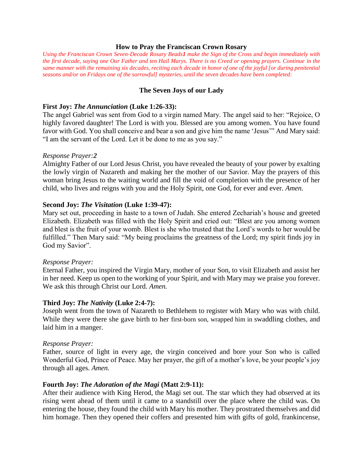#### **How to Pray the Franciscan Crown Rosary**

*Using the Franciscan Crown Seven-Decade Rosary Beads1 make the Sign of the Cross and begin immediately with the first decade, saying one Our Father and ten Hail Marys. There is no Creed or opening prayers. Continue in the same manner with the remaining six decades, reciting each decade in honor of one of the joyful [or during penitential seasons and/or on Fridays one of the sorrowful] mysteries, until the seven decades have been completed:*

### **The Seven Joys of our Lady**

### **First Joy:** *The Annunciation* **(Luke 1:26-33):**

The angel Gabriel was sent from God to a virgin named Mary. The angel said to her: "Rejoice, O highly favored daughter! The Lord is with you. Blessed are you among women. You have found favor with God. You shall conceive and bear a son and give him the name 'Jesus'" And Mary said: "I am the servant of the Lord. Let it be done to me as you say."

### *Response Prayer:2*

Almighty Father of our Lord Jesus Christ, you have revealed the beauty of your power by exalting the lowly virgin of Nazareth and making her the mother of our Savior. May the prayers of this woman bring Jesus to the waiting world and fill the void of completion with the presence of her child, who lives and reigns with you and the Holy Spirit, one God, for ever and ever. *Amen.*

### **Second Joy:** *The Visitation* **(Luke 1:39-47):**

Mary set out, proceeding in haste to a town of Judah. She entered Zechariah's house and greeted Elizabeth. Elizabeth was filled with the Holy Spirit and cried out: "Blest are you among women and blest is the fruit of your womb. Blest is she who trusted that the Lord's words to her would be fulfilled." Then Mary said: "My being proclaims the greatness of the Lord; my spirit finds joy in God my Savior".

#### *Response Prayer:*

Eternal Father, you inspired the Virgin Mary, mother of your Son, to visit Elizabeth and assist her in her need. Keep us open to the working of your Spirit, and with Mary may we praise you forever. We ask this through Christ our Lord. *Amen.* 

#### **Third Joy:** *The Nativity* **(Luke 2:4-7):**

Joseph went from the town of Nazareth to Bethlehem to register with Mary who was with child. While they were there she gave birth to her first-born son, wrapped him in swaddling clothes, and laid him in a manger.

#### *Response Prayer:*

Father, source of light in every age, the virgin conceived and bore your Son who is called Wonderful God, Prince of Peace. May her prayer, the gift of a mother's love, be your people's joy through all ages. *Amen.*

## **Fourth Joy:** *The Adoration of the Magi* **(Matt 2:9-11):**

After their audience with King Herod, the Magi set out. The star which they had observed at its rising went ahead of them until it came to a standstill over the place where the child was. On entering the house, they found the child with Mary his mother. They prostrated themselves and did him homage. Then they opened their coffers and presented him with gifts of gold, frankincense,